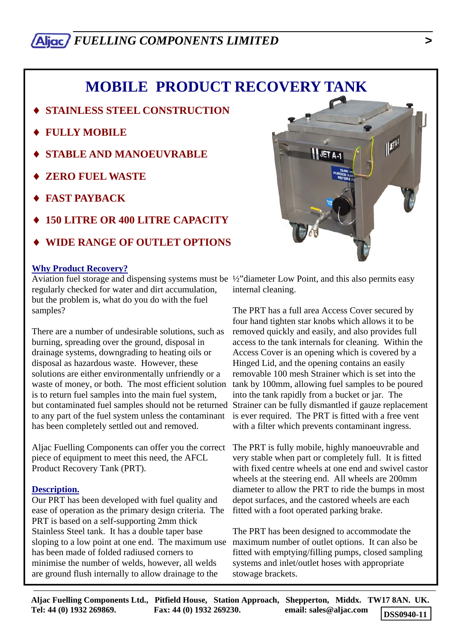# *\_\_\_\_\_\_\_\_\_\_\_\_\_\_\_\_\_\_\_\_\_\_\_\_\_\_\_\_\_\_\_\_\_\_\_\_\_\_\_\_\_\_\_\_\_\_\_\_\_\_\_\_\_\_\_\_\_\_\_ FUELLING COMPONENTS LIMITED >*

# **MOBILE PRODUCT RECOVERY TANK**

- **STAINLESS STEEL CONSTRUCTION**
- ♦ **FULLY MOBILE**
- **STABLE AND MANOEUVRABLE**
- **ZERO FUEL WASTE**
- **FAST PAYBACK**
- ♦ **150 LITRE OR 400 LITRE CAPACITY**
- ♦ **WIDE RANGE OF OUTLET OPTIONS**

#### **Why Product Recovery?**

Aviation fuel storage and dispensing systems must be ½"diameter Low Point, and this also permits easy regularly checked for water and dirt accumulation, but the problem is, what do you do with the fuel samples?

There are a number of undesirable solutions, such as burning, spreading over the ground, disposal in drainage systems, downgrading to heating oils or disposal as hazardous waste. However, these solutions are either environmentally unfriendly or a waste of money, or both. The most efficient solution is to return fuel samples into the main fuel system, to any part of the fuel system unless the contaminant has been completely settled out and removed.

Aljac Fuelling Components can offer you the correct piece of equipment to meet this need, the AFCL Product Recovery Tank (PRT).

#### **Description.**

Our PRT has been developed with fuel quality and ease of operation as the primary design criteria. The PRT is based on a self-supporting 2mm thick Stainless Steel tank. It has a double taper base sloping to a low point at one end. The maximum use maximum number of outlet options. It can also be has been made of folded radiused corners to minimise the number of welds, however, all welds are ground flush internally to allow drainage to the



internal cleaning.

but contaminated fuel samples should not be returned Strainer can be fully dismantled if gauze replacement The PRT has a full area Access Cover secured by four hand tighten star knobs which allows it to be removed quickly and easily, and also provides full access to the tank internals for cleaning. Within the Access Cover is an opening which is covered by a Hinged Lid, and the opening contains an easily removable 100 mesh Strainer which is set into the tank by 100mm, allowing fuel samples to be poured into the tank rapidly from a bucket or jar. The is ever required. The PRT is fitted with a free vent with a filter which prevents contaminant ingress.

> The PRT is fully mobile, highly manoeuvrable and very stable when part or completely full. It is fitted with fixed centre wheels at one end and swivel castor wheels at the steering end. All wheels are 200mm diameter to allow the PRT to ride the bumps in most depot surfaces, and the castored wheels are each fitted with a foot operated parking brake.

The PRT has been designed to accommodate the fitted with emptying/filling pumps, closed sampling systems and inlet/outlet hoses with appropriate stowage brackets.

**Aljac Fuelling Components Ltd., Pitfield House, Station Approach, Shepperton, Middx. TW17 8AN. UK. Tel: 44 (0) 1932 269869. Fax: 44 (0) 1932 269230. email: sales@aljac.com DSS0940-11**

 $-\frac{1}{2}$  , and the contract of the contract of the contract of the contract of the contract of the contract of the contract of the contract of the contract of the contract of the contract of the contract of the contract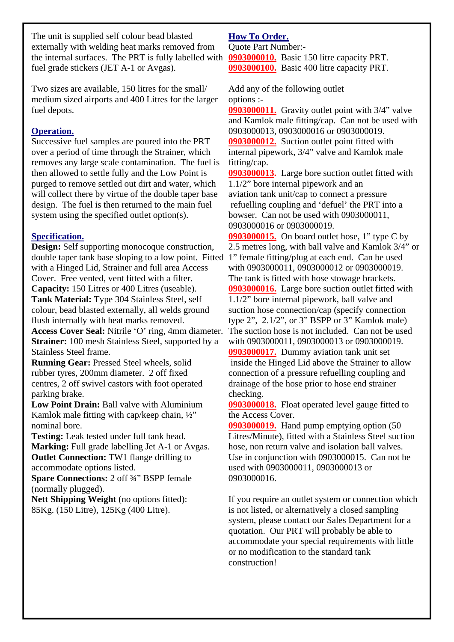The unit is supplied self colour bead blasted externally with welding heat marks removed from the internal surfaces. The PRT is fully labelled with fuel grade stickers (JET A-1 or Avgas).

Two sizes are available, 150 litres for the small/ medium sized airports and 400 Litres for the larger fuel depots.

## **Operation.**

Successive fuel samples are poured into the PRT over a period of time through the Strainer, which removes any large scale contamination. The fuel is then allowed to settle fully and the Low Point is purged to remove settled out dirt and water, which will collect there by virtue of the double taper base design. The fuel is then returned to the main fuel system using the specified outlet option(s).

### **Specification.**

**Design:** Self supporting monocoque construction, double taper tank base sloping to a low point. Fitted 1" female fitting/plug at each end. Can be used with a Hinged Lid, Strainer and full area Access Cover. Free vented, vent fitted with a filter. **Capacity:** 150 Litres or 400 Litres (useable). **Tank Material:** Type 304 Stainless Steel, self colour, bead blasted externally, all welds ground flush internally with heat marks removed. **Access Cover Seal:** Nitrile 'O' ring, 4mm diameter. **Strainer:** 100 mesh Stainless Steel, supported by a Stainless Steel frame.

**Running Gear:** Pressed Steel wheels, solid rubber tyres, 200mm diameter. 2 off fixed centres, 2 off swivel castors with foot operated parking brake.

**Low Point Drain:** Ball valve with Aluminium Kamlok male fitting with cap/keep chain, ½" nominal bore.

**Testing:** Leak tested under full tank head. **Marking:** Full grade labelling Jet A-1 or Avgas. **Outlet Connection:** TW1 flange drilling to accommodate options listed.

**Spare Connections:** 2 off ¾" BSPP female (normally plugged).

Nett Shipping Weight (no options fitted): 85Kg. (150 Litre), 125Kg (400 Litre).

# **How To Order.**

Quote Part Number:-

**0903000010.** Basic 150 litre capacity PRT. **0903000100.** Basic 400 litre capacity PRT.

Add any of the following outlet options :-

**0903000011.** Gravity outlet point with 3/4" valve and Kamlok male fitting/cap. Can not be used with 0903000013, 0903000016 or 0903000019. **0903000012.** Suction outlet point fitted with

internal pipework, 3/4" valve and Kamlok male fitting/cap.

**0903000013.** Large bore suction outlet fitted with 1.1/2" bore internal pipework and an aviation tank unit/cap to connect a pressure refuelling coupling and 'defuel' the PRT into a bowser. Can not be used with 0903000011, 0903000016 or 0903000019.

**0903000015.** On board outlet hose, 1" type C by 2.5 metres long, with ball valve and Kamlok 3/4" or with 0903000011, 0903000012 or 0903000019. The tank is fitted with hose stowage brackets. **0903000016.** Large bore suction outlet fitted with 1.1/2" bore internal pipework, ball valve and suction hose connection/cap (specify connection type 2", 2.1/2", or 3" BSPP or 3" Kamlok male) The suction hose is not included. Can not be used with 0903000011, 0903000013 or 0903000019. **0903000017.** Dummy aviation tank unit set inside the Hinged Lid above the Strainer to allow connection of a pressure refuelling coupling and drainage of the hose prior to hose end strainer checking.

**0903000018.** Float operated level gauge fitted to the Access Cover.

**0903000019.** Hand pump emptying option (50 Litres/Minute), fitted with a Stainless Steel suction hose, non return valve and isolation ball valves. Use in conjunction with 0903000015. Can not be used with 0903000011, 0903000013 or 0903000016.

If you require an outlet system or connection which is not listed, or alternatively a closed sampling system, please contact our Sales Department for a quotation. Our PRT will probably be able to accommodate your special requirements with little or no modification to the standard tank construction!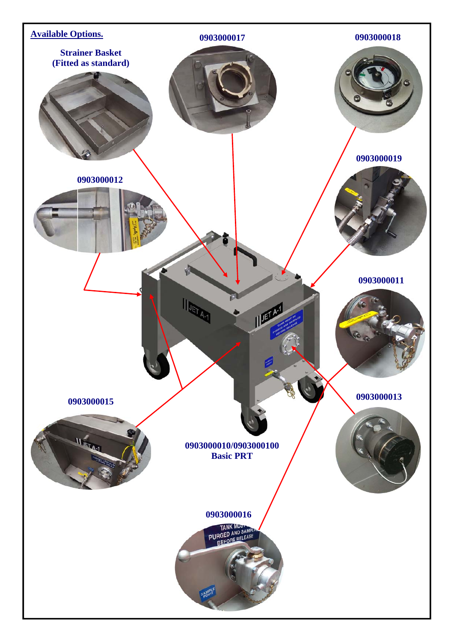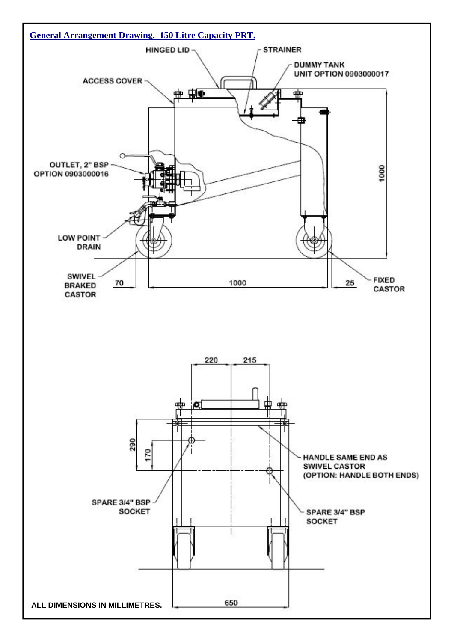